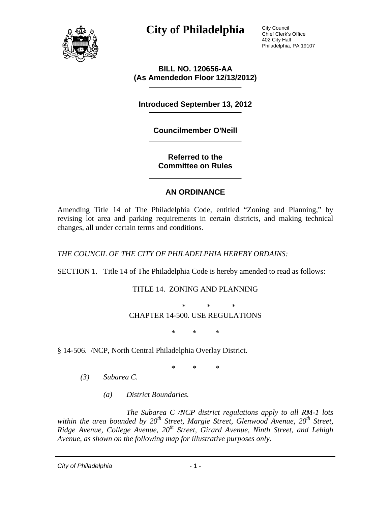

City Council Chief Clerk's Office 402 City Hall Philadelphia, PA 19107

**BILL NO. 120656-AA (As Amendedon Floor 12/13/2012)** 

**Introduced September 13, 2012** 

**Councilmember O'Neill** 

**Referred to the Committee on Rules** 

#### **AN ORDINANCE**

Amending Title 14 of The Philadelphia Code, entitled "Zoning and Planning," by revising lot area and parking requirements in certain districts, and making technical changes, all under certain terms and conditions.

*THE COUNCIL OF THE CITY OF PHILADELPHIA HEREBY ORDAINS:* 

SECTION 1. Title 14 of The Philadelphia Code is hereby amended to read as follows:

TITLE 14. ZONING AND PLANNING

 \* \* \* CHAPTER 14-500. USE REGULATIONS

\* \* \*

§ 14-506. /NCP, North Central Philadelphia Overlay District.

\* \* \*

- *(3) Subarea C.* 
	- *(a) District Boundaries.*

*The Subarea C /NCP district regulations apply to all RM-1 lots*  within the area bounded by 20<sup>th</sup> Street, Margie Street, Glenwood Avenue, 20<sup>th</sup> Street, *Ridge Avenue, College Avenue, 20<sup>th</sup> Street, Girard Avenue, Ninth Street, and Lehigh Avenue, as shown on the following map for illustrative purposes only.* 

*City of Philadelphia* - 1 -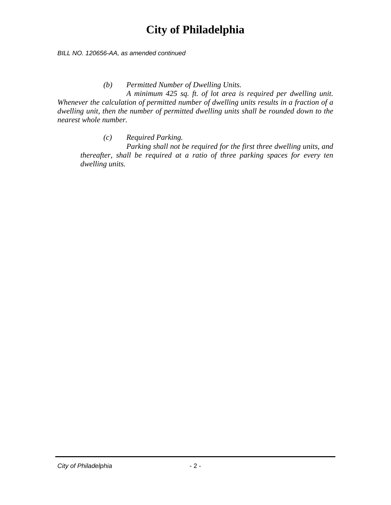*BILL NO. 120656-AA, as amended continued* 

*(b) Permitted Number of Dwelling Units.* 

*A minimum 425 sq. ft. of lot area is required per dwelling unit. Whenever the calculation of permitted number of dwelling units results in a fraction of a dwelling unit, then the number of permitted dwelling units shall be rounded down to the nearest whole number.* 

*(c) Required Parking.* 

 *Parking shall not be required for the first three dwelling units, and thereafter, shall be required at a ratio of three parking spaces for every ten dwelling units.*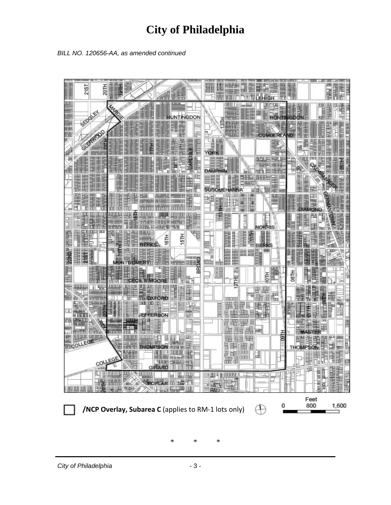



\* \* \*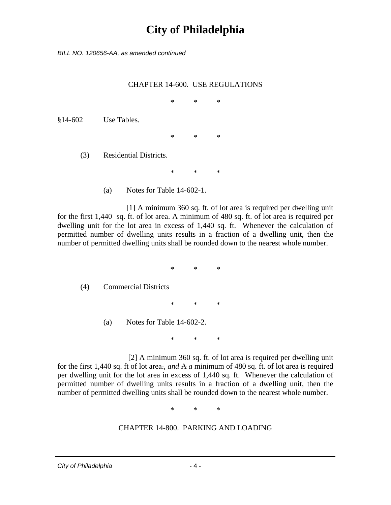*BILL NO. 120656-AA, as amended continued* 

#### CHAPTER 14-600. USE REGULATIONS

\* \* \*

§14-602 Use Tables.

\* \* \*

(3) Residential Districts.

\* \* \*

(a) Notes for Table 14-602-1.

 [1] A minimum 360 sq. ft. of lot area is required per dwelling unit for the first 1,440 sq. ft. of lot area. A minimum of 480 sq. ft. of lot area is required per dwelling unit for the lot area in excess of 1,440 sq. ft. Whenever the calculation of permitted number of dwelling units results in a fraction of a dwelling unit, then the number of permitted dwelling units shall be rounded down to the nearest whole number.

\* \* \*

(4) Commercial Districts

\* \* \*

(a) Notes for Table 14-602-2.

\* \* \*

 [2] A minimum 360 sq. ft. of lot area is required per dwelling unit for the first 1,440 sq. ft of lot area.*, and* A *a* minimum of 480 sq. ft. of lot area is required per dwelling unit for the lot area in excess of 1,440 sq. ft. Whenever the calculation of permitted number of dwelling units results in a fraction of a dwelling unit, then the number of permitted dwelling units shall be rounded down to the nearest whole number.

\* \* \*

#### CHAPTER 14-800. PARKING AND LOADING

*City of Philadelphia* - 4 -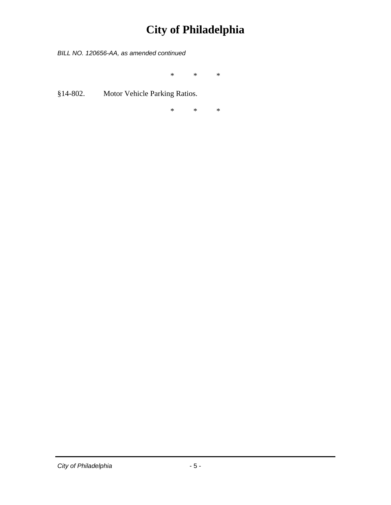*BILL NO. 120656-AA, as amended continued* 

\* \* \*

§14-802. Motor Vehicle Parking Ratios.

\* \* \*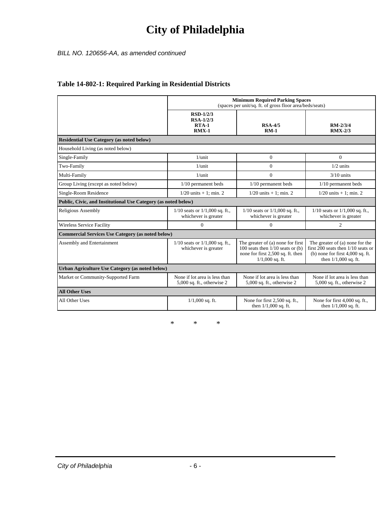#### *BILL NO. 120656-AA, as amended continued*

|                                                                | <b>Minimum Required Parking Spaces</b><br>(spaces per unit/sq. ft. of gross floor area/beds/seats) |                                                                                                                                     |                                                                                                                                         |  |
|----------------------------------------------------------------|----------------------------------------------------------------------------------------------------|-------------------------------------------------------------------------------------------------------------------------------------|-----------------------------------------------------------------------------------------------------------------------------------------|--|
|                                                                | <b>RSD-1/2/3</b><br>$RSA-1/2/3$<br>$RTA-1$<br>$RMX-1$                                              | <b>RSA-4/5</b><br>$RM-1$                                                                                                            | $RM - 2/3/4$<br>$RMX-2/3$                                                                                                               |  |
| <b>Residential Use Category (as noted below)</b>               |                                                                                                    |                                                                                                                                     |                                                                                                                                         |  |
| Household Living (as noted below)                              |                                                                                                    |                                                                                                                                     |                                                                                                                                         |  |
| Single-Family                                                  | $1/$ unit                                                                                          | $\mathbf{0}$                                                                                                                        | $\theta$                                                                                                                                |  |
| Two-Family                                                     | $1/$ unit                                                                                          | $\mathbf{0}$                                                                                                                        | $1/2$ units                                                                                                                             |  |
| Multi-Family                                                   | $1/$ unit                                                                                          | $\Omega$                                                                                                                            | $3/10$ units                                                                                                                            |  |
| Group Living (except as noted below)                           | $1/10$ permanent beds                                                                              | $1/10$ permanent beds                                                                                                               | 1/10 permanent beds                                                                                                                     |  |
| Single-Room Residence                                          | $1/20$ units + 1; min. 2                                                                           | $1/20$ units + 1; min. 2                                                                                                            | $1/20$ units + 1; min. 2                                                                                                                |  |
| Public, Civic, and Institutional Use Category (as noted below) |                                                                                                    |                                                                                                                                     |                                                                                                                                         |  |
| Religious Assembly                                             | $1/10$ seats or $1/1,000$ sq. ft.,<br>whichever is greater                                         | $1/10$ seats or $1/1,000$ sq. ft.,<br>whichever is greater                                                                          | $1/10$ seats or $1/1,000$ sq. ft.,<br>whichever is greater                                                                              |  |
| <b>Wireless Service Facility</b>                               | $\mathbf{0}$                                                                                       | $\Omega$                                                                                                                            | 2                                                                                                                                       |  |
| <b>Commercial Services Use Category (as noted below)</b>       |                                                                                                    |                                                                                                                                     |                                                                                                                                         |  |
| Assembly and Entertainment                                     | $1/10$ seats or $1/1,000$ sq. ft.,<br>whichever is greater                                         | The greater of (a) none for first<br>100 seats then $1/10$ seats or $(b)$<br>none for first 2,500 sq. ft. then<br>$1/1,000$ sq. ft. | The greater of (a) none for the<br>first 200 seats then $1/10$ seats or<br>(b) none for first $4,000$ sq. ft.<br>then $1/1,000$ sq. ft. |  |
| Urban Agriculture Use Category (as noted below)                |                                                                                                    |                                                                                                                                     |                                                                                                                                         |  |
| Market or Community-Supported Farm                             | None if lot area is less than<br>$5,000$ sq. ft., otherwise 2                                      | None if lot area is less than<br>$5,000$ sq. ft., otherwise 2                                                                       | None if lot area is less than<br>5,000 sq. ft., otherwise 2                                                                             |  |
| <b>All Other Uses</b>                                          |                                                                                                    |                                                                                                                                     |                                                                                                                                         |  |
| All Other Uses                                                 | $1/1,000$ sq. ft.                                                                                  | None for first 2,500 sq. ft.,<br>then $1/1,000$ sq. ft.                                                                             | None for first 4,000 sq. ft.,<br>then $1/1,000$ sq. ft.                                                                                 |  |

#### **Table 14-802-1: Required Parking in Residential Districts**

\* \* \*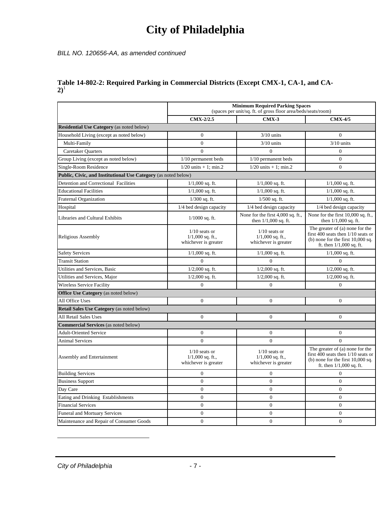*BILL NO. 120656-AA, as amended continued* 

#### **Table 14-802-2: Required Parking in Commercial Districts (Except CMX-1, CA-1, and CA-** $2)^1$

|                                                                | <b>Minimum Required Parking Spaces</b><br>(spaces per unit/sq. ft. of gross floor area/beds/seats/room) |                                                               |                                                                                                                                                |  |
|----------------------------------------------------------------|---------------------------------------------------------------------------------------------------------|---------------------------------------------------------------|------------------------------------------------------------------------------------------------------------------------------------------------|--|
|                                                                | CMX-2/2.5                                                                                               | $CMX-3$                                                       | <b>CMX-4/5</b>                                                                                                                                 |  |
| <b>Residential Use Category</b> (as noted below)               |                                                                                                         |                                                               |                                                                                                                                                |  |
| Household Living (except as noted below)                       | $\mathbf{0}$                                                                                            | $3/10$ units                                                  | $\mathbf{0}$                                                                                                                                   |  |
| Multi-Family                                                   | $\overline{0}$                                                                                          | $3/10$ units                                                  | $3/10$ units                                                                                                                                   |  |
| <b>Caretaker Quarters</b>                                      | $\theta$                                                                                                | $\Omega$                                                      | $\Omega$                                                                                                                                       |  |
| Group Living (except as noted below)                           | $1/10$ permanent beds                                                                                   | $1/10$ permanent beds                                         | $\overline{0}$                                                                                                                                 |  |
| Single-Room Residence                                          | $1/20$ units + 1; min.2                                                                                 | $1/20$ units + 1; min.2                                       | $\Omega$                                                                                                                                       |  |
| Public, Civic, and Institutional Use Category (as noted below) |                                                                                                         |                                                               |                                                                                                                                                |  |
| Detention and Correctional Facilities                          | $1/1,000$ sq. ft.                                                                                       | $1/1,000$ sq. ft.                                             | $1/1,000$ sq. ft.                                                                                                                              |  |
| <b>Educational Facilities</b>                                  | $1/1,000$ sq. ft.                                                                                       | $1/1,000$ sq. ft.                                             | $1/1,000$ sq. ft.                                                                                                                              |  |
| <b>Fraternal Organization</b>                                  | $1/300$ sq. ft.                                                                                         | $1/500$ sq. ft.                                               | $1/1,000$ sq. ft.                                                                                                                              |  |
| Hospital                                                       | 1/4 bed design capacity                                                                                 | 1/4 bed design capacity                                       | 1/4 bed design capacity                                                                                                                        |  |
| Libraries and Cultural Exhibits                                | $1/1000$ sq. ft.                                                                                        | None for the first 4,000 sq. ft.,<br>then $1/1,000$ sq. ft.   | None for the first 10,000 sq. ft.,<br>then $1/1,000$ sq. ft.                                                                                   |  |
| Religious Assembly                                             | $1/10$ seats or<br>$1/1,000$ sq. ft.,<br>whichever is greater                                           | $1/10$ seats or<br>$1/1,000$ sq. ft.,<br>whichever is greater | The greater of (a) none for the<br>first 400 seats then $1/10$ seats or<br>(b) none for the first $10,000$ sq.<br>ft. then $1/1,000$ sq. ft.   |  |
| <b>Safety Services</b>                                         | $1/1,000$ sq. ft.                                                                                       | $1/1,000$ sq. ft.                                             | $1/1,000$ sq. ft.                                                                                                                              |  |
| <b>Transit Station</b>                                         | $\Omega$                                                                                                | $\Omega$                                                      | $\Omega$                                                                                                                                       |  |
| Utilities and Services, Basic                                  | $1/2,000$ sq. ft.                                                                                       | $1/2,000$ sq. ft.                                             | $1/2,000$ sq. ft.                                                                                                                              |  |
| Utilities and Services, Major                                  | $1/2,000$ sq. ft.                                                                                       | $1/2,000$ sq. ft.                                             | $1/2,000$ sq. ft.                                                                                                                              |  |
| <b>Wireless Service Facility</b>                               | $\Omega$                                                                                                | $\mathbf{0}$                                                  | $\Omega$                                                                                                                                       |  |
| <b>Office Use Category</b> (as noted below)                    |                                                                                                         |                                                               |                                                                                                                                                |  |
| All Office Uses                                                | $\overline{0}$                                                                                          | $\overline{0}$                                                | $\theta$                                                                                                                                       |  |
| Retail Sales Use Category (as noted below)                     |                                                                                                         |                                                               |                                                                                                                                                |  |
| All Retail Sales Uses                                          | $\overline{0}$                                                                                          | $\mathbf{0}$                                                  | $\mathbf{0}$                                                                                                                                   |  |
| <b>Commercial Services</b> (as noted below)                    |                                                                                                         |                                                               |                                                                                                                                                |  |
| <b>Adult-Oriented Service</b>                                  | $\mathbf{0}$                                                                                            | $\mathbf{0}$                                                  | $\overline{0}$                                                                                                                                 |  |
| <b>Animal Services</b>                                         | $\Omega$                                                                                                | $\mathbf{0}$                                                  | $\Omega$                                                                                                                                       |  |
| Assembly and Entertainment                                     | $1/10$ seats or<br>$1/1,000$ sq. ft.,<br>whichever is greater                                           | $1/10$ seats or<br>$1/1,000$ sq. ft.,<br>whichever is greater | The greater of (a) none for the<br>first $400$ seats then $1/10$ seats or<br>(b) none for the first $10,000$ sq.<br>ft. then $1/1,000$ sq. ft. |  |
| <b>Building Services</b>                                       | $\mathbf{0}$                                                                                            | $\overline{0}$                                                | $\overline{0}$                                                                                                                                 |  |
| <b>Business Support</b>                                        | $\overline{0}$                                                                                          | $\mathbf{0}$                                                  | $\overline{0}$                                                                                                                                 |  |
| Day Care                                                       | $\overline{0}$                                                                                          | $\mathbf{0}$                                                  | $\overline{0}$                                                                                                                                 |  |
| Eating and Drinking Establishments                             | $\overline{0}$                                                                                          | $\mathbf{0}$                                                  | $\overline{0}$                                                                                                                                 |  |
| <b>Financial Services</b>                                      | $\overline{0}$                                                                                          | $\mathbf{0}$                                                  | $\mathbf{0}$                                                                                                                                   |  |
| <b>Funeral and Mortuary Services</b>                           | $\mathbf{0}$                                                                                            | $\mathbf{0}$                                                  | $\overline{0}$                                                                                                                                 |  |
| Maintenance and Repair of Consumer Goods                       | $\overline{0}$                                                                                          | $\mathbf{0}$                                                  | $\overline{0}$                                                                                                                                 |  |

 $\overline{a}$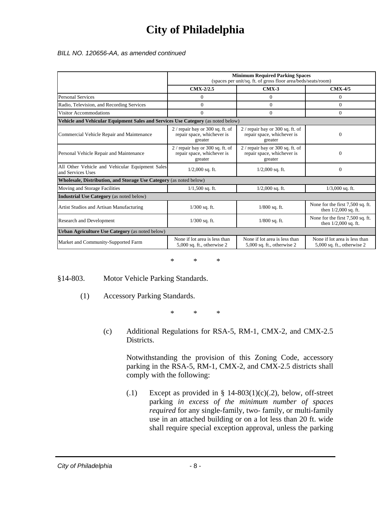*BILL NO. 120656-AA, as amended continued* 

|                                                                                  | <b>Minimum Required Parking Spaces</b><br>(spaces per unit/sq. ft. of gross floor area/beds/seats/room) |                                                                            |                                                             |  |  |
|----------------------------------------------------------------------------------|---------------------------------------------------------------------------------------------------------|----------------------------------------------------------------------------|-------------------------------------------------------------|--|--|
|                                                                                  | CMX-2/2.5                                                                                               | $CMX-3$                                                                    | <b>CMX-4/5</b>                                              |  |  |
| <b>Personal Services</b>                                                         | 0                                                                                                       | $\Omega$                                                                   | $\Omega$                                                    |  |  |
| Radio, Television, and Recording Services                                        | $\Omega$                                                                                                | $\Omega$                                                                   | $\Omega$                                                    |  |  |
| Visitor Accommodations                                                           | $\Omega$                                                                                                | $\mathbf{0}$                                                               | $\overline{0}$                                              |  |  |
| Vehicle and Vehicular Equipment Sales and Services Use Category (as noted below) |                                                                                                         |                                                                            |                                                             |  |  |
| Commercial Vehicle Repair and Maintenance                                        | $2/$ repair bay or 300 sq. ft. of<br>repair space, whichever is<br>greater                              | $2/$ repair bay or 300 sq. ft. of<br>repair space, whichever is<br>greater | $\Omega$                                                    |  |  |
| Personal Vehicle Repair and Maintenance                                          | $2/$ repair bay or 300 sq. ft. of<br>repair space, whichever is<br>greater                              | $2/$ repair bay or 300 sq. ft. of<br>repair space, whichever is<br>greater | $\Omega$                                                    |  |  |
| All Other Vehicle and Vehicular Equipment Sales<br>and Services Uses             | $1/2,000$ sq. ft.                                                                                       | $1/2,000$ sq. ft.                                                          | $\Omega$                                                    |  |  |
| Wholesale, Distribution, and Storage Use Category (as noted below)               |                                                                                                         |                                                                            |                                                             |  |  |
| Moving and Storage Facilities                                                    | $1/1,500$ sq. ft.                                                                                       | $1/2,000$ sq. ft.                                                          | $1/3,000$ sq. ft.                                           |  |  |
| <b>Industrial Use Category</b> (as noted below)                                  |                                                                                                         |                                                                            |                                                             |  |  |
| Artist Studios and Artisan Manufacturing                                         | $1/300$ sq. ft.                                                                                         | $1/800$ sq. ft.                                                            | None for the first 7,500 sq. ft.<br>then $1/2,000$ sq. ft.  |  |  |
| <b>Research and Development</b>                                                  | $1/300$ sq. ft.                                                                                         | $1/800$ sq. ft.                                                            | None for the first 7,500 sq. ft.<br>then $1/2,000$ sq. ft.  |  |  |
| Urban Agriculture Use Category (as noted below)                                  |                                                                                                         |                                                                            |                                                             |  |  |
| Market and Community-Supported Farm                                              | None if lot area is less than<br>5,000 sq. ft., otherwise 2                                             | None if lot area is less than<br>5,000 sq. ft., otherwise 2                | None if lot area is less than<br>5,000 sq. ft., otherwise 2 |  |  |

\* \* \*

§14-803. Motor Vehicle Parking Standards.

(1) Accessory Parking Standards.

\* \* \*

(c) Additional Regulations for RSA-5, RM-1, CMX-2, and CMX-2.5 Districts.

Notwithstanding the provision of this Zoning Code, accessory parking in the RSA-5, RM-1, CMX-2, and CMX-2.5 districts shall comply with the following:

(.1) Except as provided in  $\S$  14-803(1)(c)(.2), below, off-street parking *in excess of the minimum number of spaces required* for any single-family, two- family, or multi-family use in an attached building or on a lot less than 20 ft. wide shall require special exception approval, unless the parking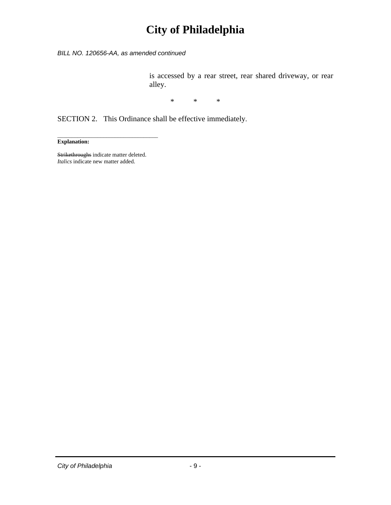*BILL NO. 120656-AA, as amended continued* 

is accessed by a rear street, rear shared driveway, or rear alley.

\* \* \*

SECTION 2. This Ordinance shall be effective immediately.

**Explanation:** 

Strikethroughs indicate matter deleted. *Italics* indicate new matter added.

\_\_\_\_\_\_\_\_\_\_\_\_\_\_\_\_\_\_\_\_\_\_\_\_\_\_\_\_\_\_\_\_\_\_\_